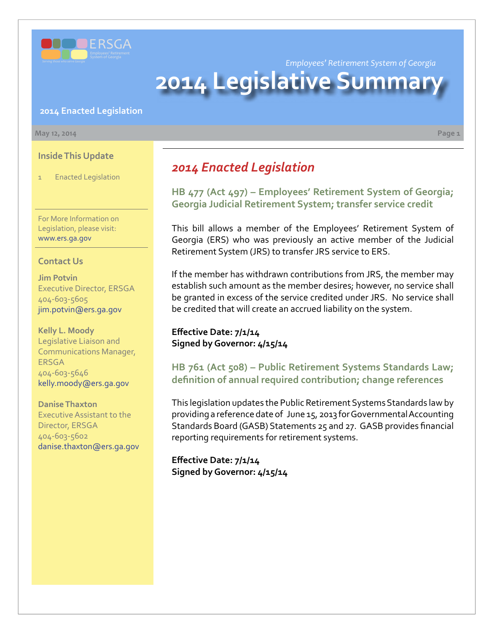

*Employees' Retirement System of Georgia*

# **2014 Legislative Summar**

#### **2014 Enacted Legislation**

#### **May 12, 2014 Page 1**

**Inside This Update**

1 Enacted Legislation

For More Information on Legislation, please visit: www.ers.ga.gov

#### **Contact Us**

**Jim Potvin** Executive Director, ERSGA 404-603-5605 jim.potvin@ers.ga.gov

**Kelly L. Moody** Legislative Liaison and Communications Manager, ERSGA 404-603-5646 kelly.moody@ers.ga.gov

**Danise Thaxton** Executive Assistant to the Director, ERSGA 404-603-5602 danise.thaxton@ers.ga.gov

## *2014 Enacted Legislation*

**H[B 477 \(Act 497\) – E](http://www.legis.ga.gov/legislation/en-US/Display/20132014/HB/477)mployees' Retirement System of Georgia; Georgia Judicial Retirement System; transfer service credit**

This bill allows a member of the Employees' Retirement System of Georgia (ERS) who was previously an active member of the Judicial Retirement System (JRS) to transfer JRS service to ERS.

If the member has withdrawn contributions from JRS, the member may establish such amount as the member desires; however, no service shall be granted in excess of the service credited under JRS. No service shall be credited that will create an accrued liability on the system.

### **Effective Date: 7/1/14 Signed by Governor: 4/15/14**

**H[B 761 \(Act 508\) – P](http://www.legis.ga.gov/legislation/en-US/Display/20132014/HB/761)ublic Retirement Systems Standards Law; definition of annual required contribution; change references**

This legislation updates the Public Retirement Systems Standards law by providing a reference date of June 15, 2013 for Governmental Accounting Standards Board (GASB) Statements 25 and 27. GASB provides financial reporting requirements for retirement systems.

**Effective Date: 7/1/14 Signed by Governor: 4/15/14**